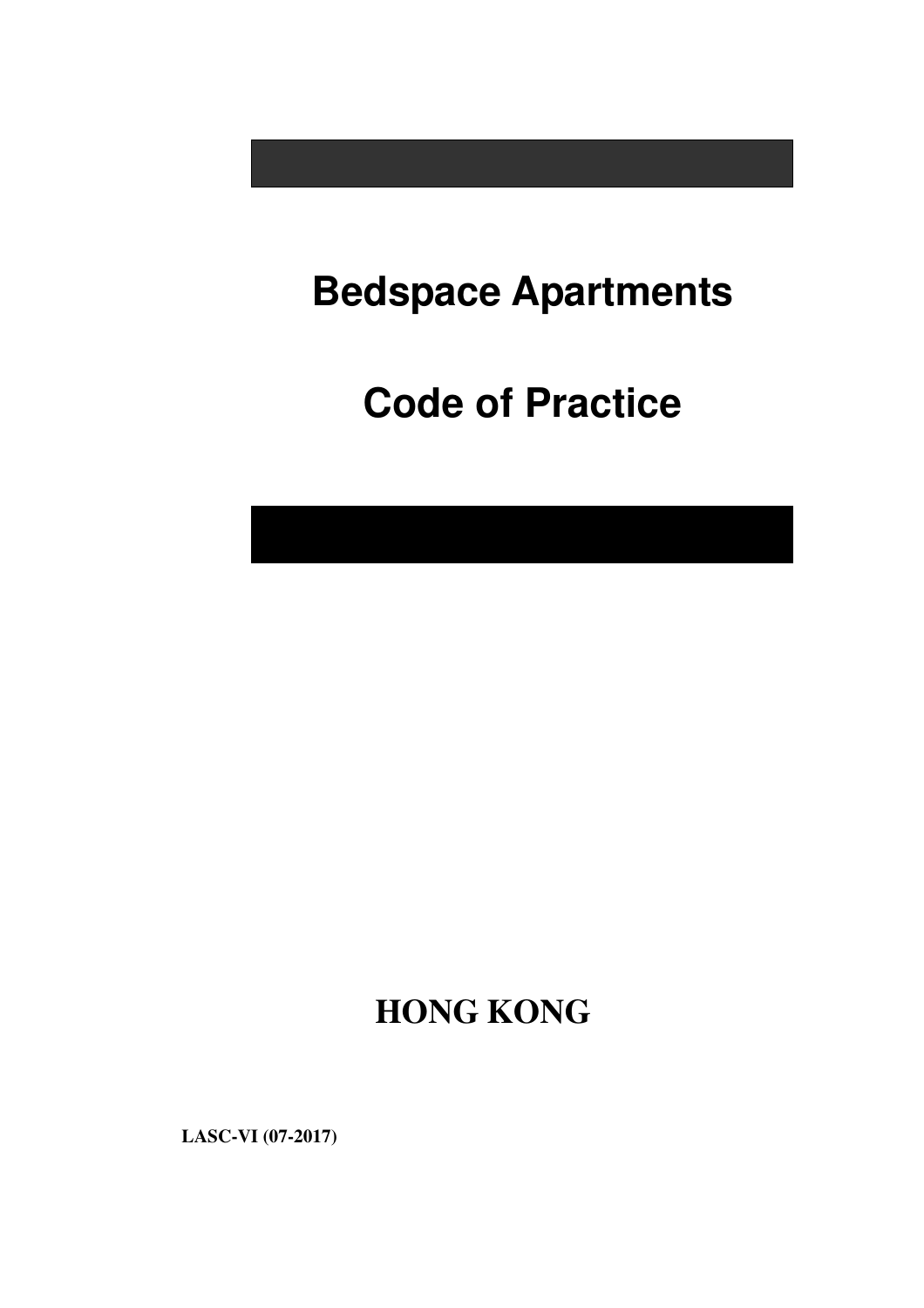# **Bedspace Apartments**

# **Code of Practice**

**HONG KONG** 

**LASC-VI (07-2017)**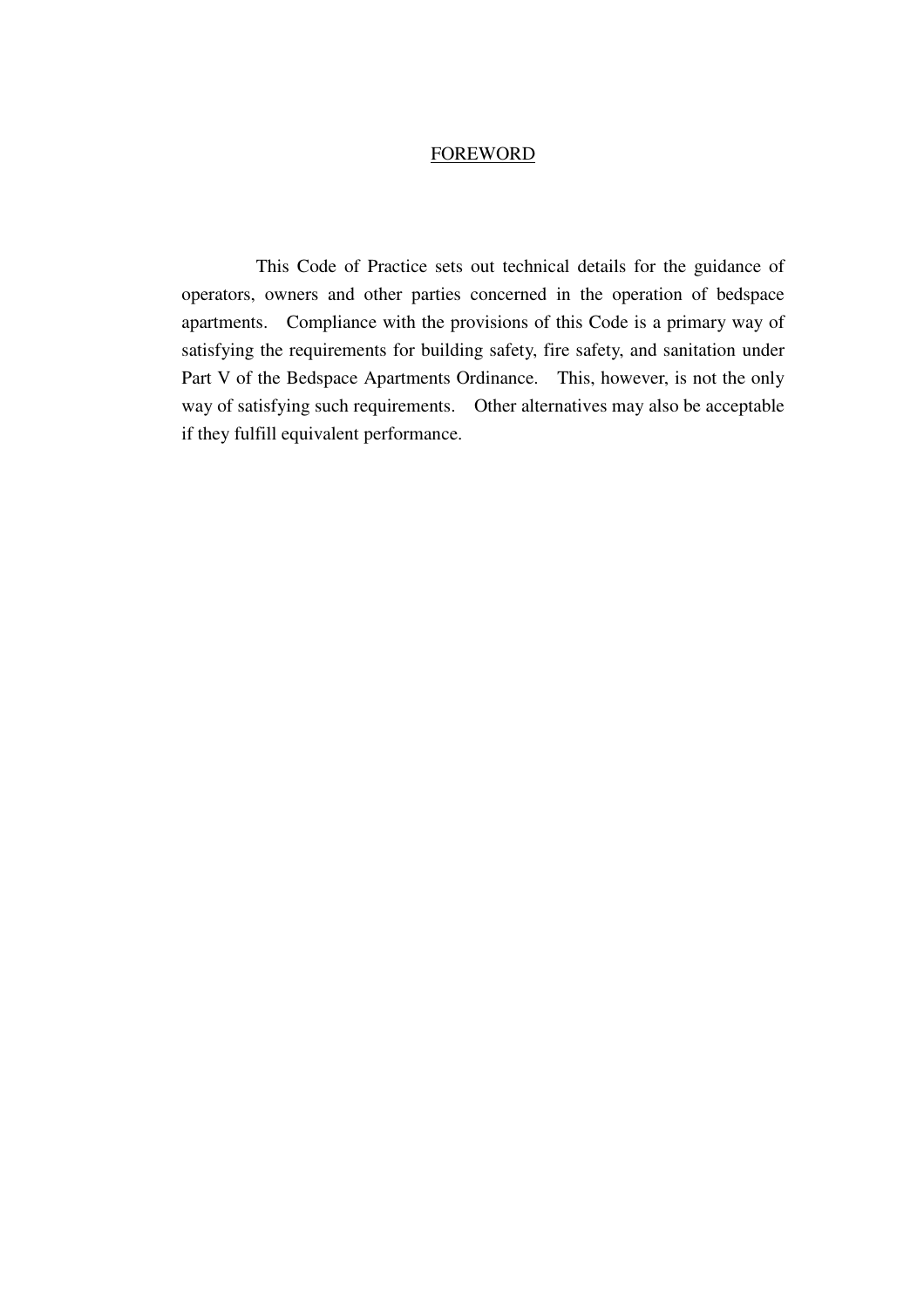#### FOREWORD

 This Code of Practice sets out technical details for the guidance of operators, owners and other parties concerned in the operation of bedspace apartments. Compliance with the provisions of this Code is a primary way of satisfying the requirements for building safety, fire safety, and sanitation under Part V of the Bedspace Apartments Ordinance. This, however, is not the only way of satisfying such requirements. Other alternatives may also be acceptable if they fulfill equivalent performance.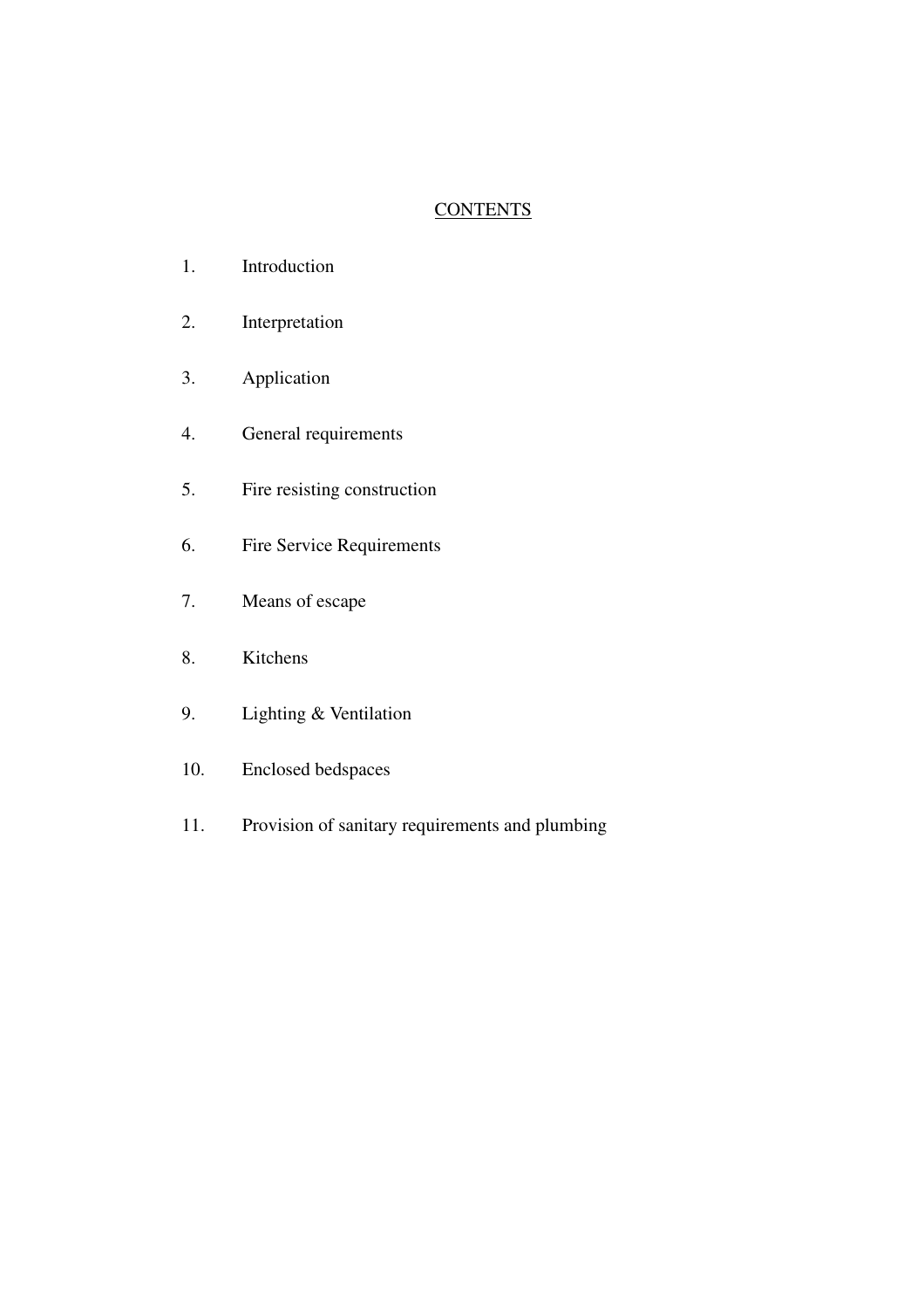# **CONTENTS**

- 1. Introduction
- 2. Interpretation
- 3. Application
- 4. General requirements
- 5. Fire resisting construction
- 6. Fire Service Requirements
- 7. Means of escape
- 8. Kitchens
- 9. Lighting & Ventilation
- 10. Enclosed bedspaces
- 11. Provision of sanitary requirements and plumbing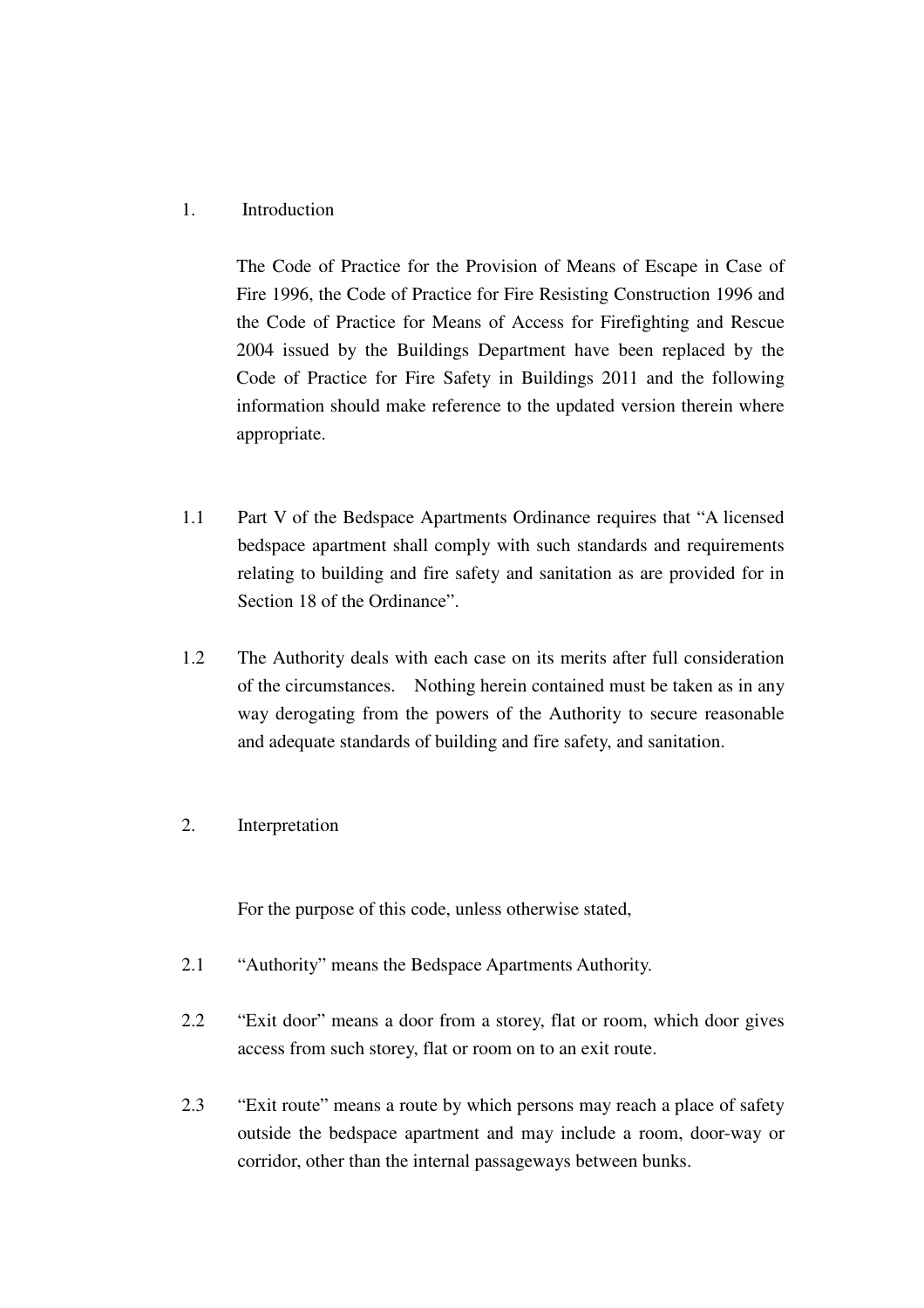## 1. Introduction

The Code of Practice for the Provision of Means of Escape in Case of Fire 1996, the Code of Practice for Fire Resisting Construction 1996 and the Code of Practice for Means of Access for Firefighting and Rescue 2004 issued by the Buildings Department have been replaced by the Code of Practice for Fire Safety in Buildings 2011 and the following information should make reference to the updated version therein where appropriate.

- 1.1 Part V of the Bedspace Apartments Ordinance requires that "A licensed bedspace apartment shall comply with such standards and requirements relating to building and fire safety and sanitation as are provided for in Section 18 of the Ordinance".
- 1.2 The Authority deals with each case on its merits after full consideration of the circumstances. Nothing herein contained must be taken as in any way derogating from the powers of the Authority to secure reasonable and adequate standards of building and fire safety, and sanitation.
- 2. Interpretation

For the purpose of this code, unless otherwise stated,

- 2.1 "Authority" means the Bedspace Apartments Authority.
- 2.2 "Exit door" means a door from a storey, flat or room, which door gives access from such storey, flat or room on to an exit route.
- 2.3 "Exit route" means a route by which persons may reach a place of safety outside the bedspace apartment and may include a room, door-way or corridor, other than the internal passageways between bunks.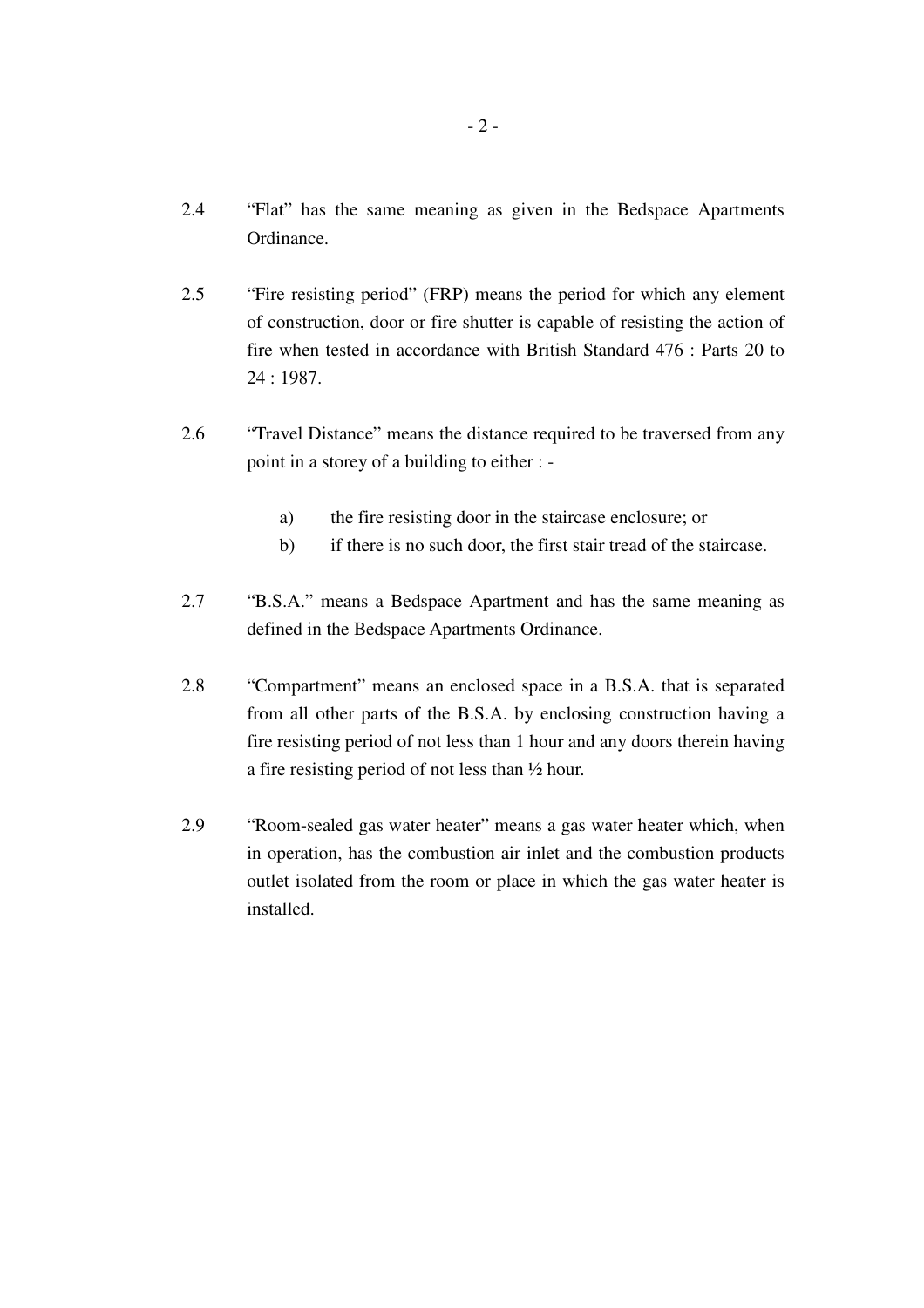- 2.4 "Flat" has the same meaning as given in the Bedspace Apartments Ordinance.
- 2.5 "Fire resisting period" (FRP) means the period for which any element of construction, door or fire shutter is capable of resisting the action of fire when tested in accordance with British Standard 476 : Parts 20 to 24 : 1987.
- 2.6 "Travel Distance" means the distance required to be traversed from any point in a storey of a building to either :
	- a) the fire resisting door in the staircase enclosure; or
	- b) if there is no such door, the first stair tread of the staircase.
- 2.7 "B.S.A." means a Bedspace Apartment and has the same meaning as defined in the Bedspace Apartments Ordinance.
- 2.8 "Compartment" means an enclosed space in a B.S.A. that is separated from all other parts of the B.S.A. by enclosing construction having a fire resisting period of not less than 1 hour and any doors therein having a fire resisting period of not less than ½ hour.
- 2.9 "Room-sealed gas water heater" means a gas water heater which, when in operation, has the combustion air inlet and the combustion products outlet isolated from the room or place in which the gas water heater is installed.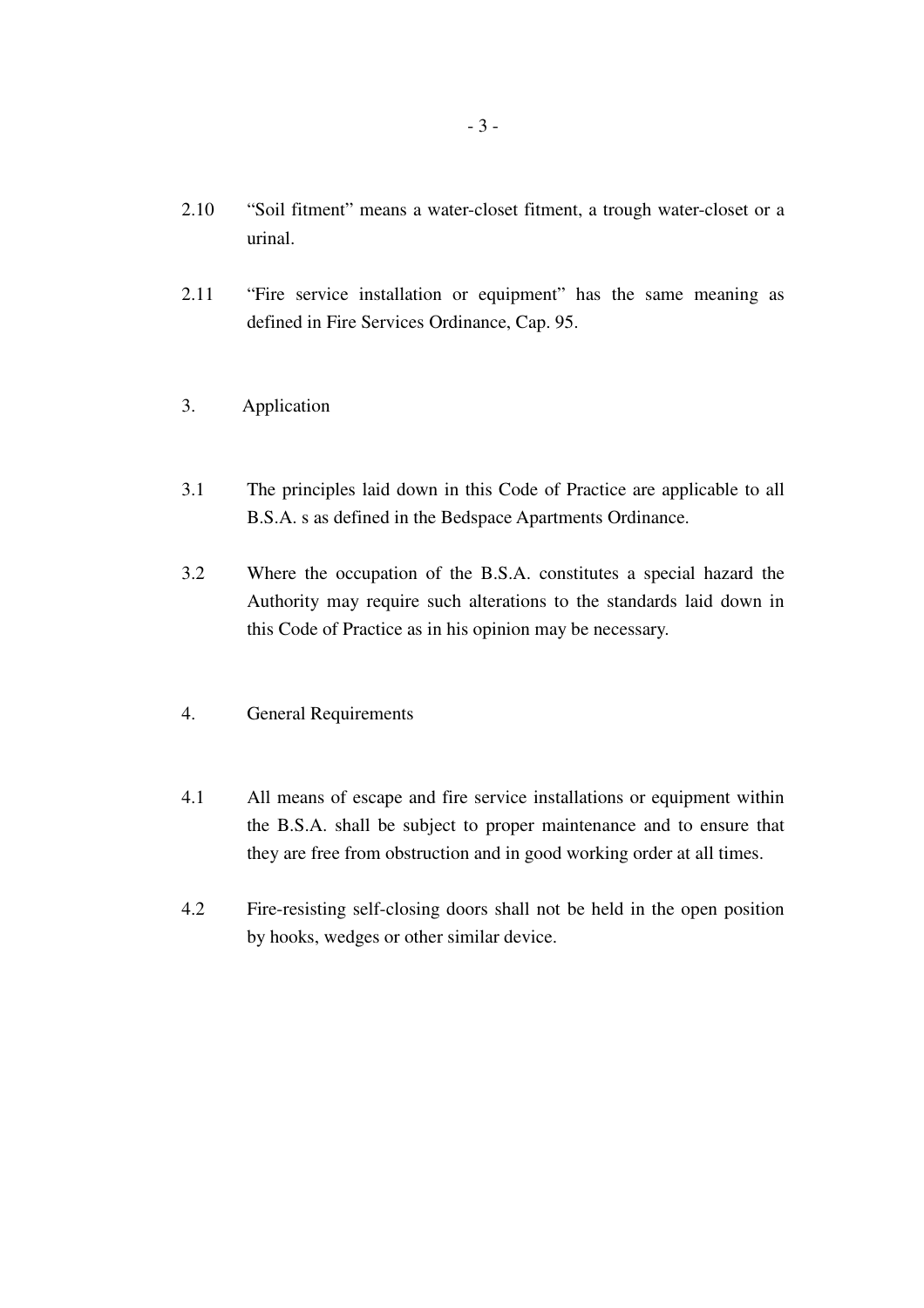- 2.10 "Soil fitment" means a water-closet fitment, a trough water-closet or a urinal.
- 2.11 "Fire service installation or equipment" has the same meaning as defined in Fire Services Ordinance, Cap. 95.

### 3. Application

- 3.1 The principles laid down in this Code of Practice are applicable to all B.S.A. s as defined in the Bedspace Apartments Ordinance.
- 3.2 Where the occupation of the B.S.A. constitutes a special hazard the Authority may require such alterations to the standards laid down in this Code of Practice as in his opinion may be necessary.
- 4. General Requirements
- 4.1 All means of escape and fire service installations or equipment within the B.S.A. shall be subject to proper maintenance and to ensure that they are free from obstruction and in good working order at all times.
- 4.2 Fire-resisting self-closing doors shall not be held in the open position by hooks, wedges or other similar device.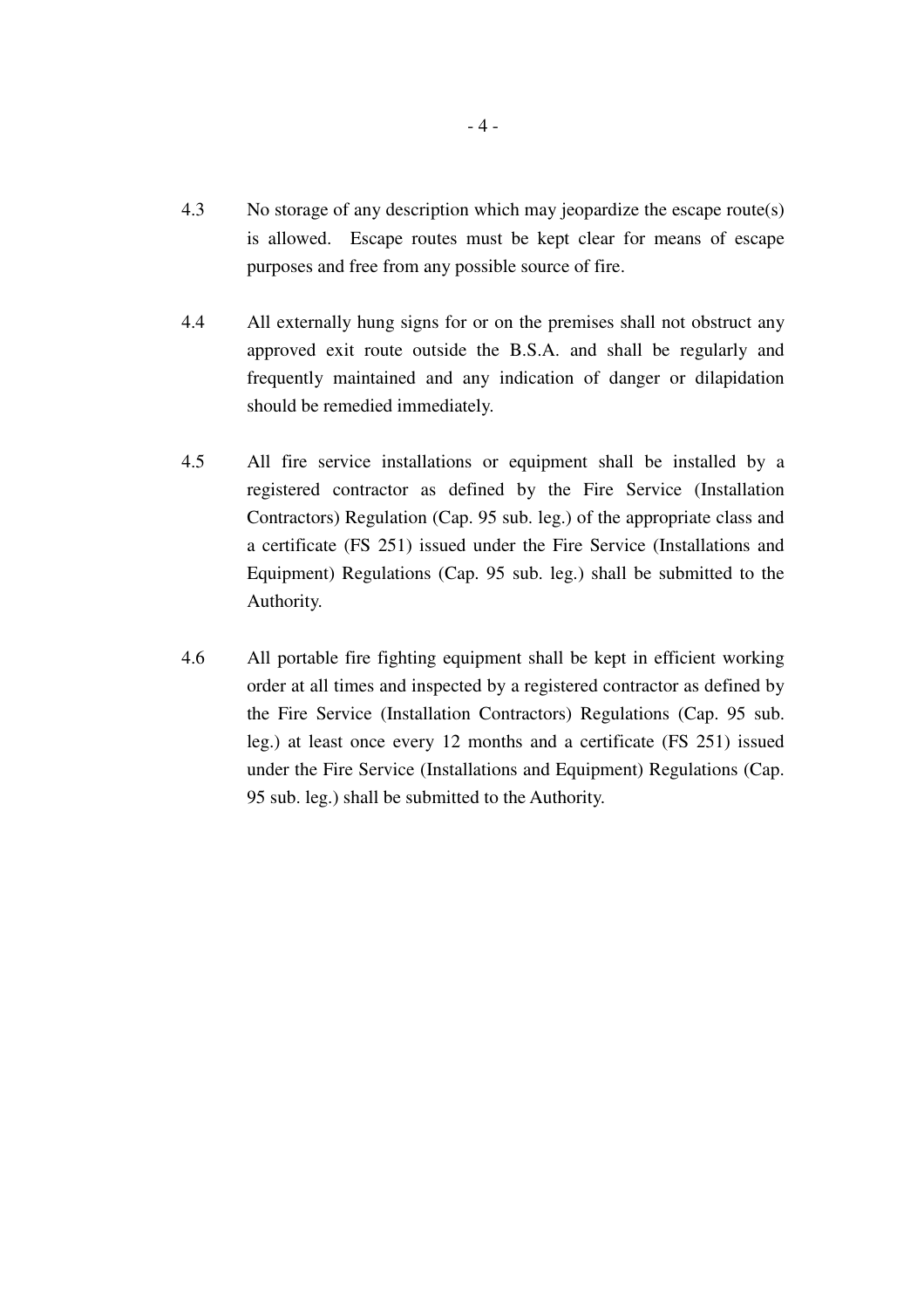- 4.3 No storage of any description which may jeopardize the escape route(s) is allowed. Escape routes must be kept clear for means of escape purposes and free from any possible source of fire.
- 4.4 All externally hung signs for or on the premises shall not obstruct any approved exit route outside the B.S.A. and shall be regularly and frequently maintained and any indication of danger or dilapidation should be remedied immediately.
- 4.5 All fire service installations or equipment shall be installed by a registered contractor as defined by the Fire Service (Installation Contractors) Regulation (Cap. 95 sub. leg.) of the appropriate class and a certificate (FS 251) issued under the Fire Service (Installations and Equipment) Regulations (Cap. 95 sub. leg.) shall be submitted to the Authority.
- 4.6 All portable fire fighting equipment shall be kept in efficient working order at all times and inspected by a registered contractor as defined by the Fire Service (Installation Contractors) Regulations (Cap. 95 sub. leg.) at least once every 12 months and a certificate (FS 251) issued under the Fire Service (Installations and Equipment) Regulations (Cap. 95 sub. leg.) shall be submitted to the Authority.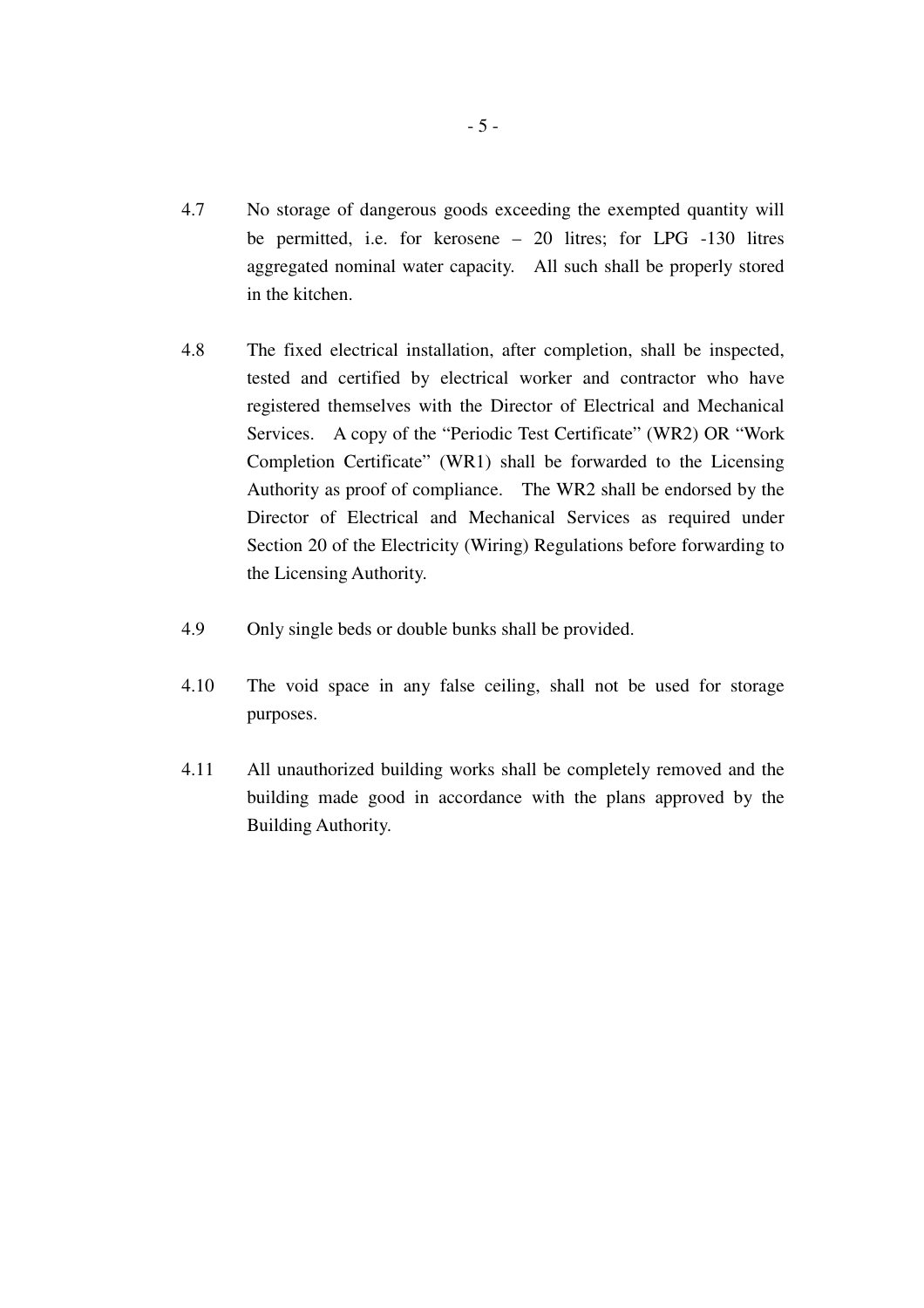- 4.7 No storage of dangerous goods exceeding the exempted quantity will be permitted, i.e. for kerosene – 20 litres; for LPG -130 litres aggregated nominal water capacity. All such shall be properly stored in the kitchen.
- 4.8 The fixed electrical installation, after completion, shall be inspected, tested and certified by electrical worker and contractor who have registered themselves with the Director of Electrical and Mechanical Services. A copy of the "Periodic Test Certificate" (WR2) OR "Work Completion Certificate" (WR1) shall be forwarded to the Licensing Authority as proof of compliance. The WR2 shall be endorsed by the Director of Electrical and Mechanical Services as required under Section 20 of the Electricity (Wiring) Regulations before forwarding to the Licensing Authority.
- 4.9 Only single beds or double bunks shall be provided.
- 4.10 The void space in any false ceiling, shall not be used for storage purposes.
- 4.11 All unauthorized building works shall be completely removed and the building made good in accordance with the plans approved by the Building Authority.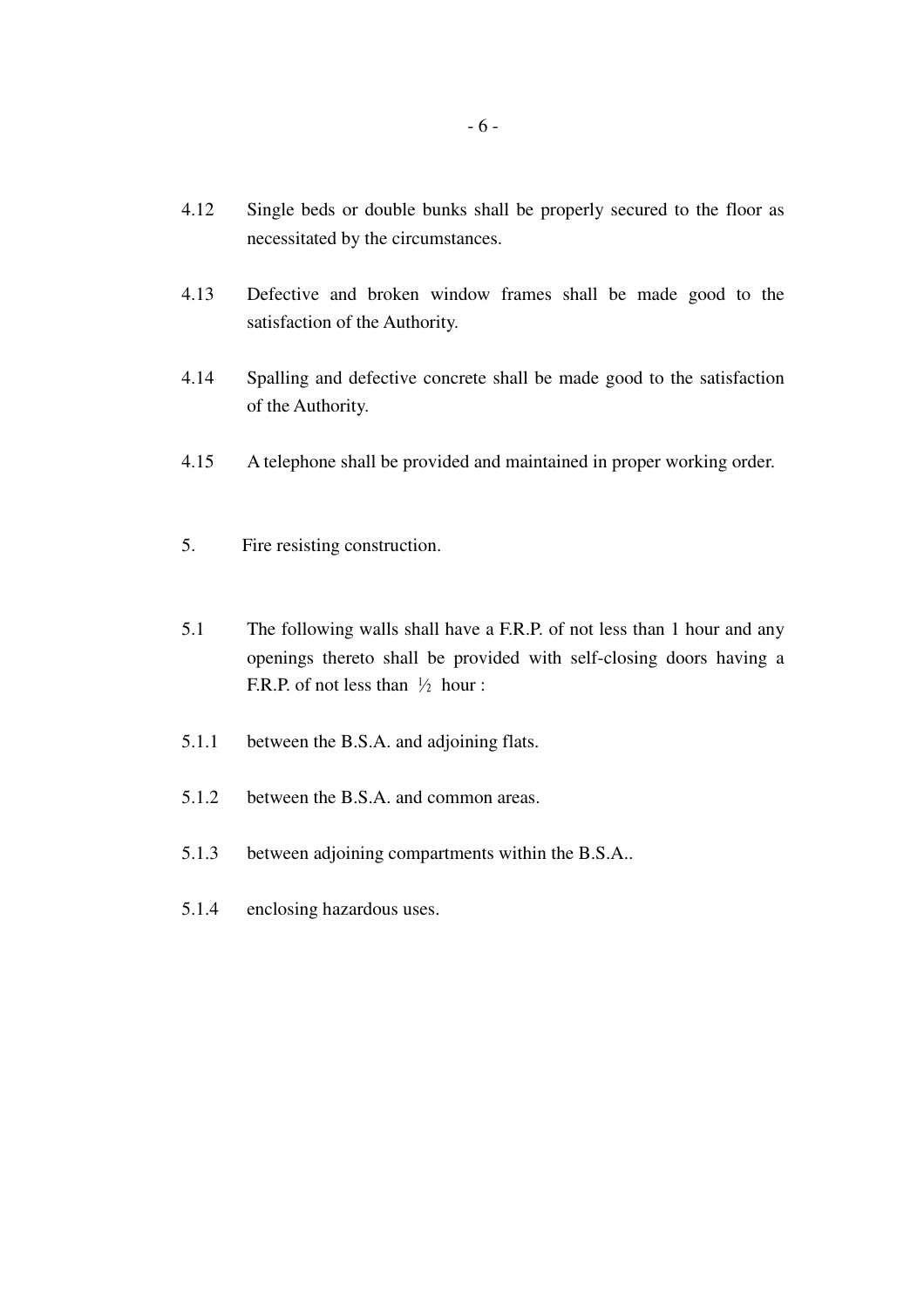- 4.12 Single beds or double bunks shall be properly secured to the floor as necessitated by the circumstances.
- 4.13 Defective and broken window frames shall be made good to the satisfaction of the Authority.
- 4.14 Spalling and defective concrete shall be made good to the satisfaction of the Authority.
- 4.15 A telephone shall be provided and maintained in proper working order.
- 5. Fire resisting construction.
- 5.1 The following walls shall have a F.R.P. of not less than 1 hour and any openings thereto shall be provided with self-closing doors having a F.R.P. of not less than  $\frac{1}{2}$  hour :
- 5.1.1 between the B.S.A. and adjoining flats.
- 5.1.2 between the B.S.A. and common areas.
- 5.1.3 between adjoining compartments within the B.S.A..
- 5.1.4 enclosing hazardous uses.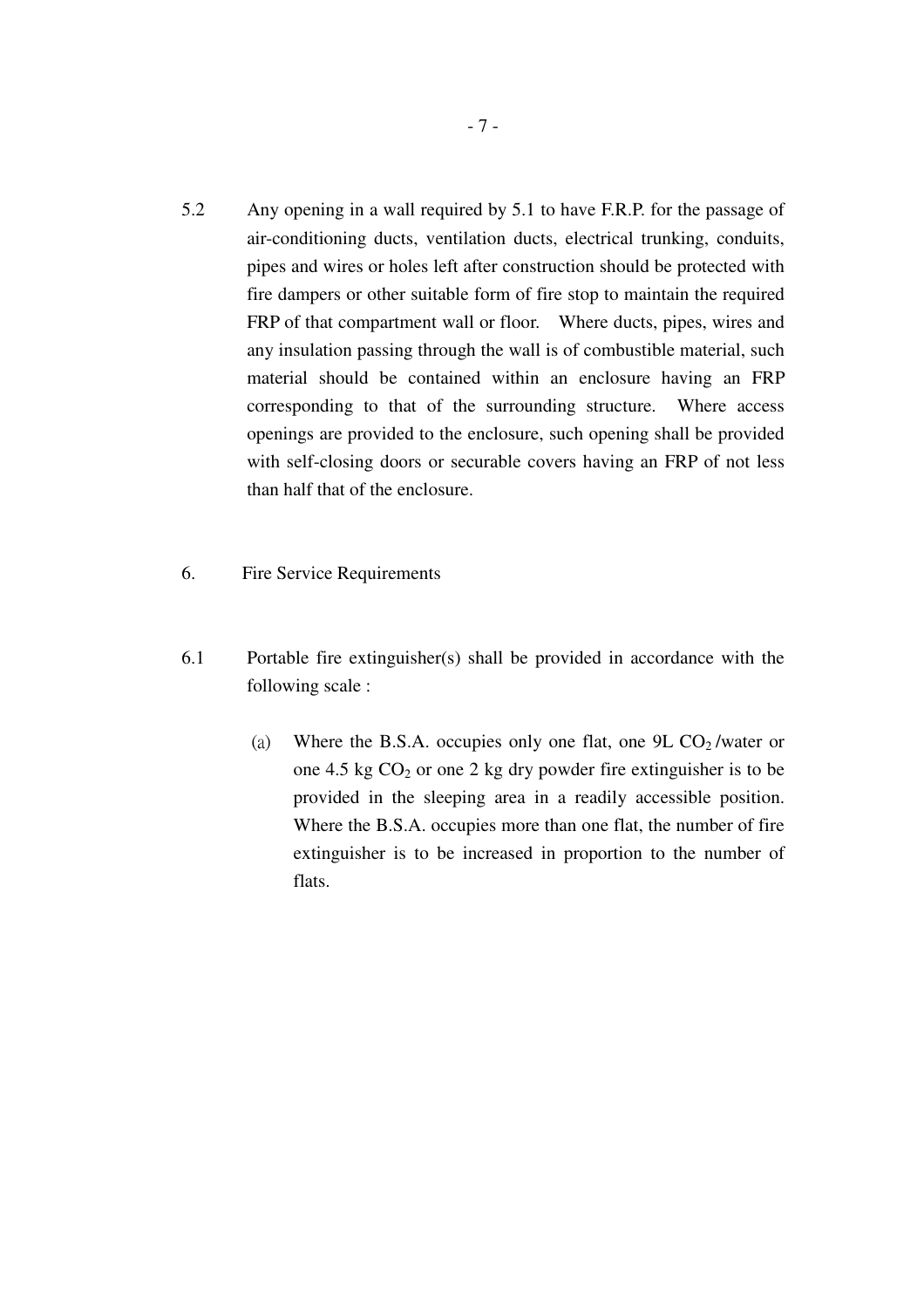- 5.2 Any opening in a wall required by 5.1 to have F.R.P. for the passage of air-conditioning ducts, ventilation ducts, electrical trunking, conduits, pipes and wires or holes left after construction should be protected with fire dampers or other suitable form of fire stop to maintain the required FRP of that compartment wall or floor. Where ducts, pipes, wires and any insulation passing through the wall is of combustible material, such material should be contained within an enclosure having an FRP corresponding to that of the surrounding structure. Where access openings are provided to the enclosure, such opening shall be provided with self-closing doors or securable covers having an FRP of not less than half that of the enclosure.
- 6. Fire Service Requirements
- 6.1 Portable fire extinguisher(s) shall be provided in accordance with the following scale :
	- (a) Where the B.S.A. occupies only one flat, one  $9L CO<sub>2</sub>$ /water or one 4.5 kg  $CO<sub>2</sub>$  or one 2 kg dry powder fire extinguisher is to be provided in the sleeping area in a readily accessible position. Where the B.S.A. occupies more than one flat, the number of fire extinguisher is to be increased in proportion to the number of flats.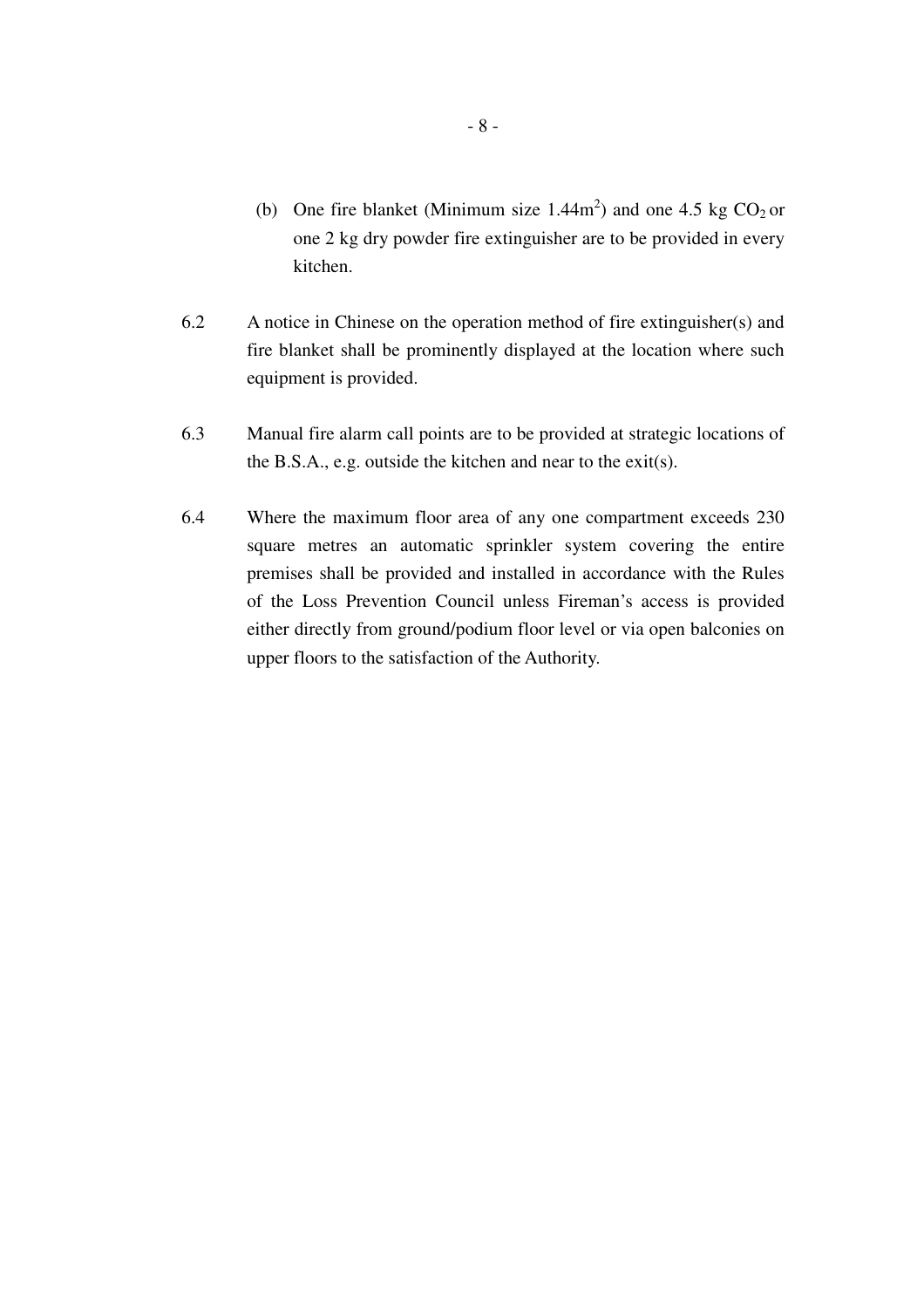- (b) One fire blanket (Minimum size  $1.44 \text{m}^2$ ) and one  $4.5 \text{ kg CO}_2 \text{ or }$ one 2 kg dry powder fire extinguisher are to be provided in every kitchen.
- 6.2 A notice in Chinese on the operation method of fire extinguisher(s) and fire blanket shall be prominently displayed at the location where such equipment is provided.
- 6.3 Manual fire alarm call points are to be provided at strategic locations of the B.S.A., e.g. outside the kitchen and near to the exit(s).
- 6.4 Where the maximum floor area of any one compartment exceeds 230 square metres an automatic sprinkler system covering the entire premises shall be provided and installed in accordance with the Rules of the Loss Prevention Council unless Fireman's access is provided either directly from ground/podium floor level or via open balconies on upper floors to the satisfaction of the Authority.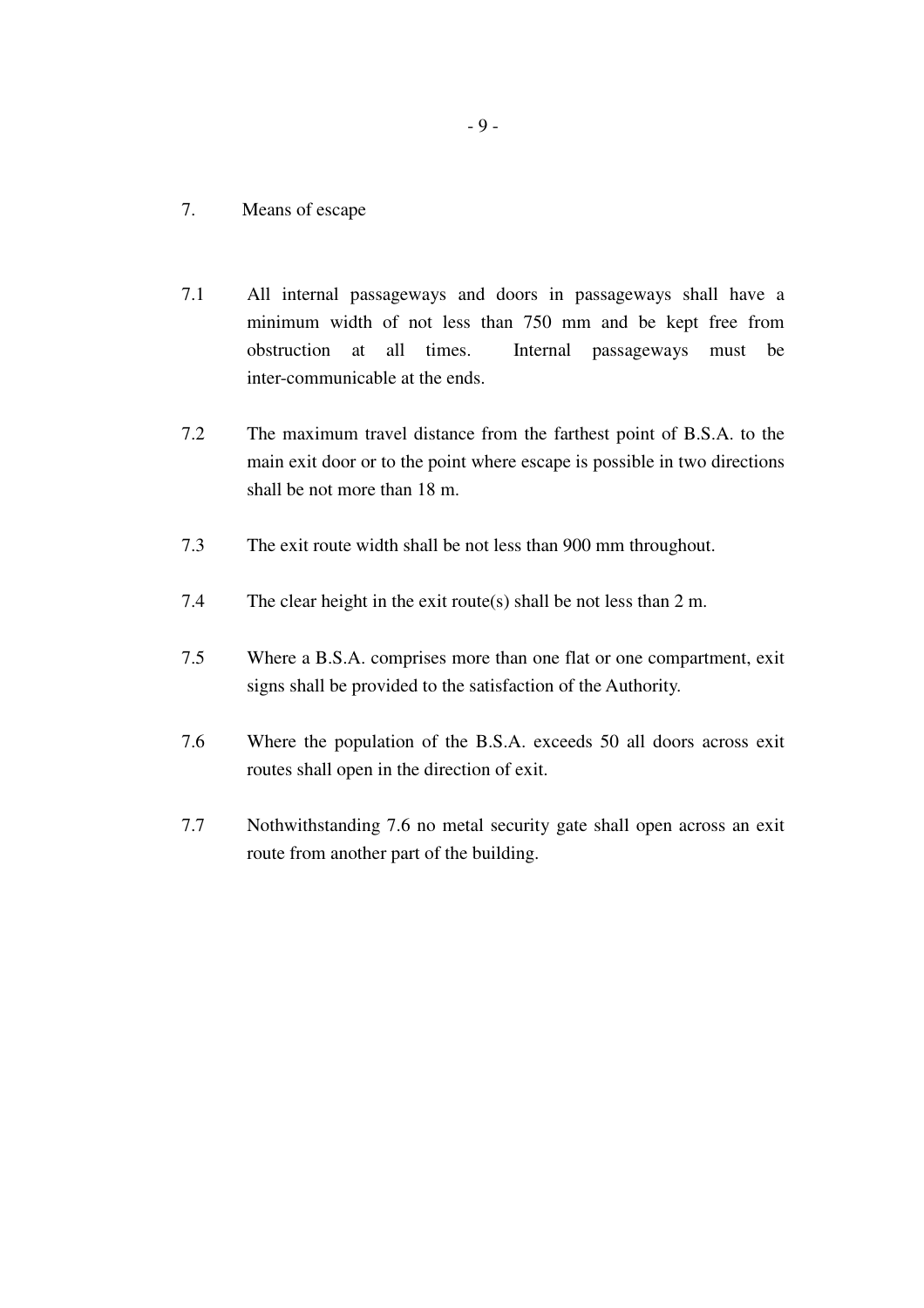#### 7. Means of escape

- 7.1 All internal passageways and doors in passageways shall have a minimum width of not less than 750 mm and be kept free from obstruction at all times. Internal passageways must be inter-communicable at the ends.
- 7.2 The maximum travel distance from the farthest point of B.S.A. to the main exit door or to the point where escape is possible in two directions shall be not more than 18 m.
- 7.3 The exit route width shall be not less than 900 mm throughout.
- 7.4 The clear height in the exit route(s) shall be not less than 2 m.
- 7.5 Where a B.S.A. comprises more than one flat or one compartment, exit signs shall be provided to the satisfaction of the Authority.
- 7.6 Where the population of the B.S.A. exceeds 50 all doors across exit routes shall open in the direction of exit.
- 7.7 Nothwithstanding 7.6 no metal security gate shall open across an exit route from another part of the building.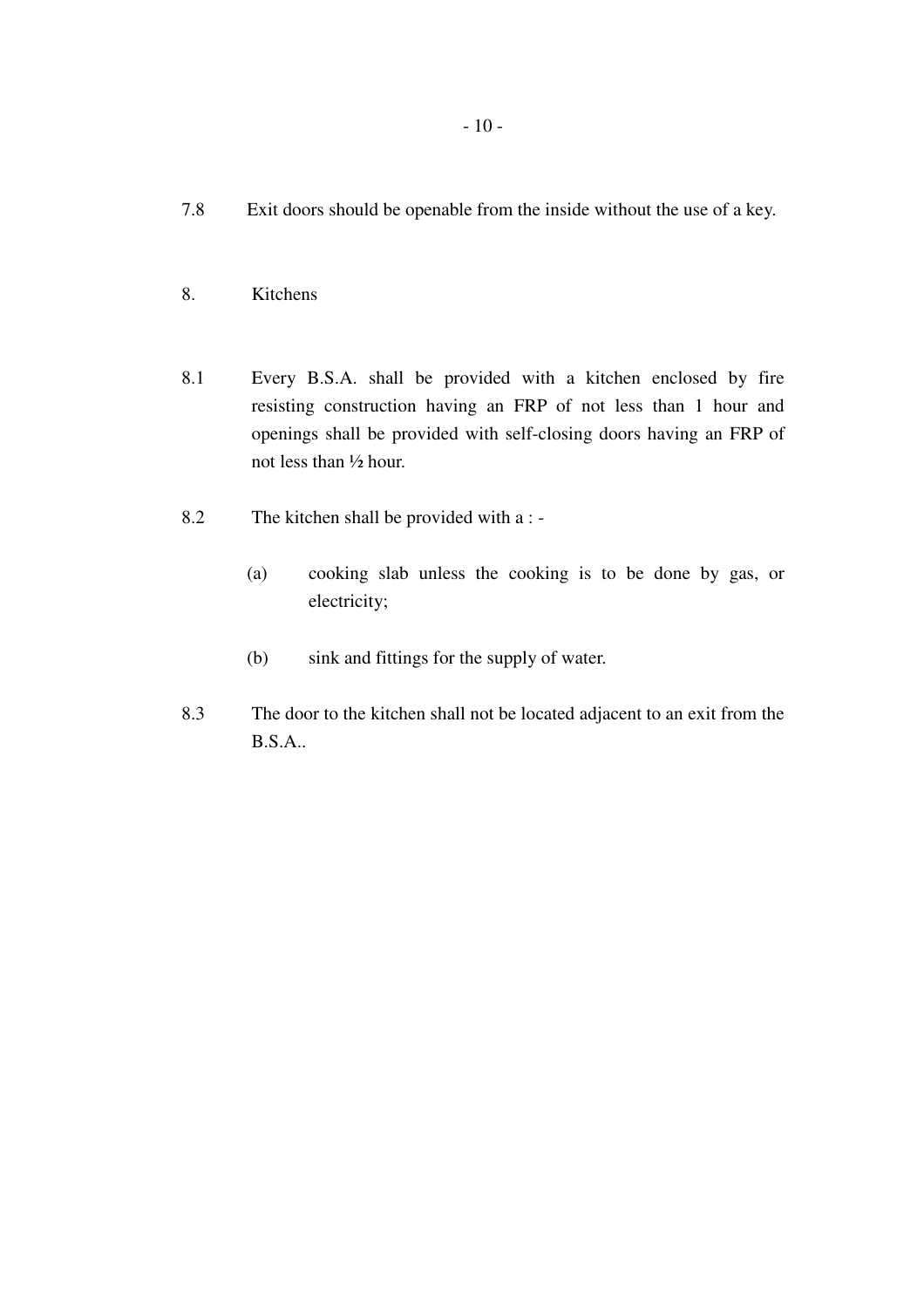- 7.8 Exit doors should be openable from the inside without the use of a key.
- 8. Kitchens
- 8.1 Every B.S.A. shall be provided with a kitchen enclosed by fire resisting construction having an FRP of not less than 1 hour and openings shall be provided with self-closing doors having an FRP of not less than ½ hour.
- 8.2 The kitchen shall be provided with a :
	- (a) cooking slab unless the cooking is to be done by gas, or electricity;
	- (b) sink and fittings for the supply of water.
- 8.3 The door to the kitchen shall not be located adjacent to an exit from the B.S.A..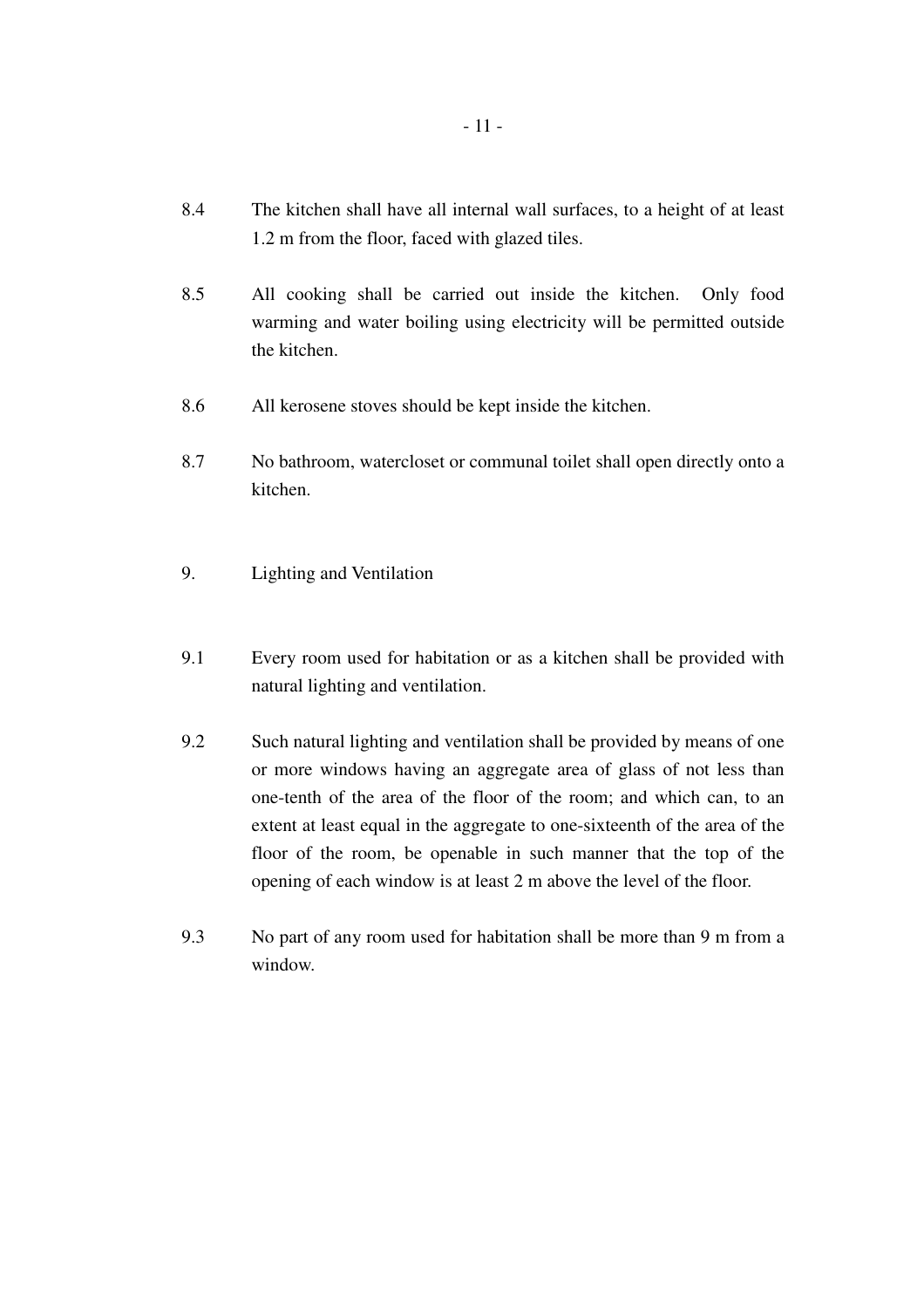- 8.4 The kitchen shall have all internal wall surfaces, to a height of at least 1.2 m from the floor, faced with glazed tiles.
- 8.5 All cooking shall be carried out inside the kitchen. Only food warming and water boiling using electricity will be permitted outside the kitchen.
- 8.6 All kerosene stoves should be kept inside the kitchen.
- 8.7 No bathroom, watercloset or communal toilet shall open directly onto a kitchen.
- 9. Lighting and Ventilation
- 9.1 Every room used for habitation or as a kitchen shall be provided with natural lighting and ventilation.
- 9.2 Such natural lighting and ventilation shall be provided by means of one or more windows having an aggregate area of glass of not less than one-tenth of the area of the floor of the room; and which can, to an extent at least equal in the aggregate to one-sixteenth of the area of the floor of the room, be openable in such manner that the top of the opening of each window is at least 2 m above the level of the floor.
- 9.3 No part of any room used for habitation shall be more than 9 m from a window.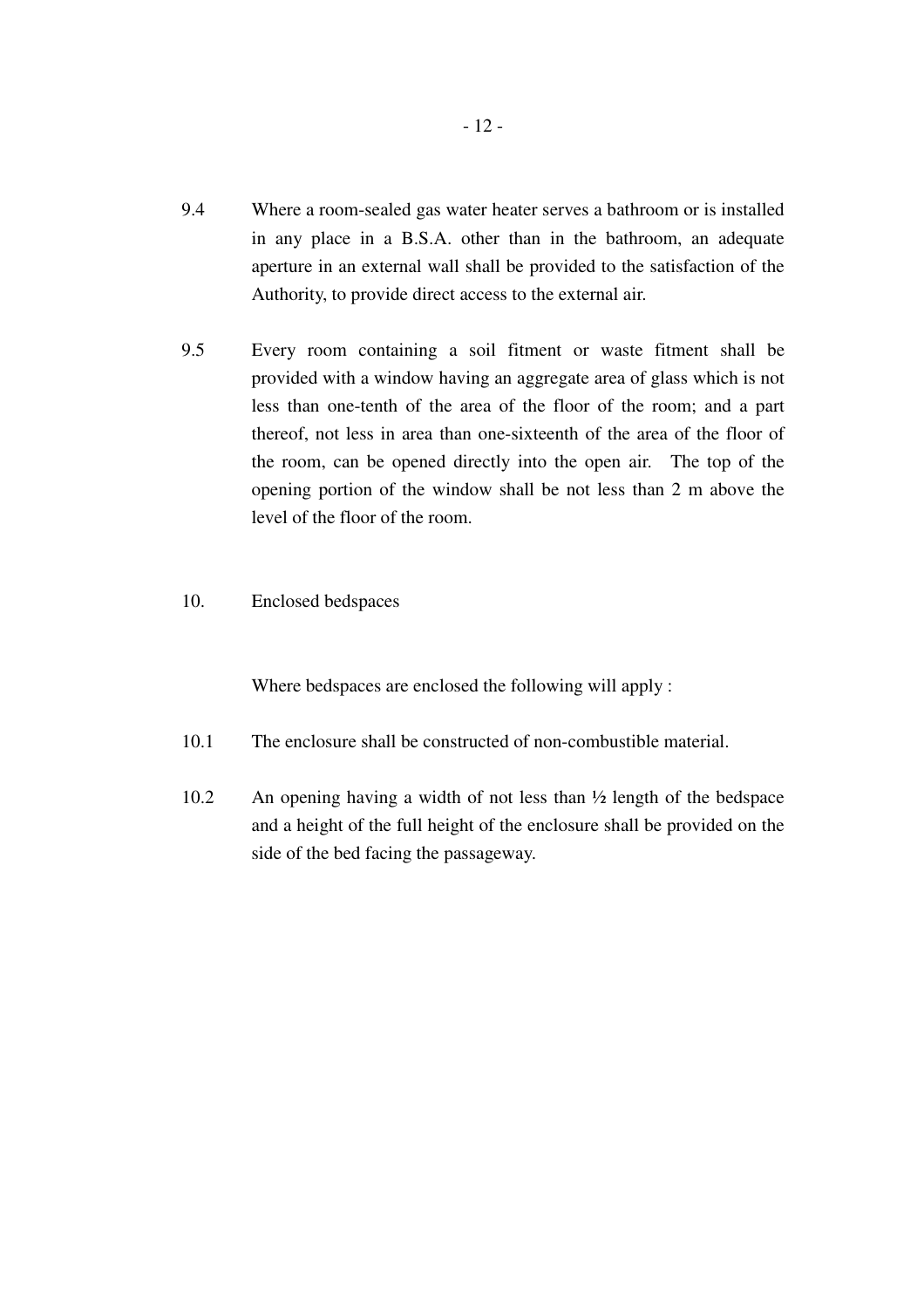- 9.4 Where a room-sealed gas water heater serves a bathroom or is installed in any place in a B.S.A. other than in the bathroom, an adequate aperture in an external wall shall be provided to the satisfaction of the Authority, to provide direct access to the external air.
- 9.5 Every room containing a soil fitment or waste fitment shall be provided with a window having an aggregate area of glass which is not less than one-tenth of the area of the floor of the room; and a part thereof, not less in area than one-sixteenth of the area of the floor of the room, can be opened directly into the open air. The top of the opening portion of the window shall be not less than 2 m above the level of the floor of the room.
- 10. Enclosed bedspaces

Where bedspaces are enclosed the following will apply :

- 10.1 The enclosure shall be constructed of non-combustible material.
- 10.2 An opening having a width of not less than ½ length of the bedspace and a height of the full height of the enclosure shall be provided on the side of the bed facing the passageway.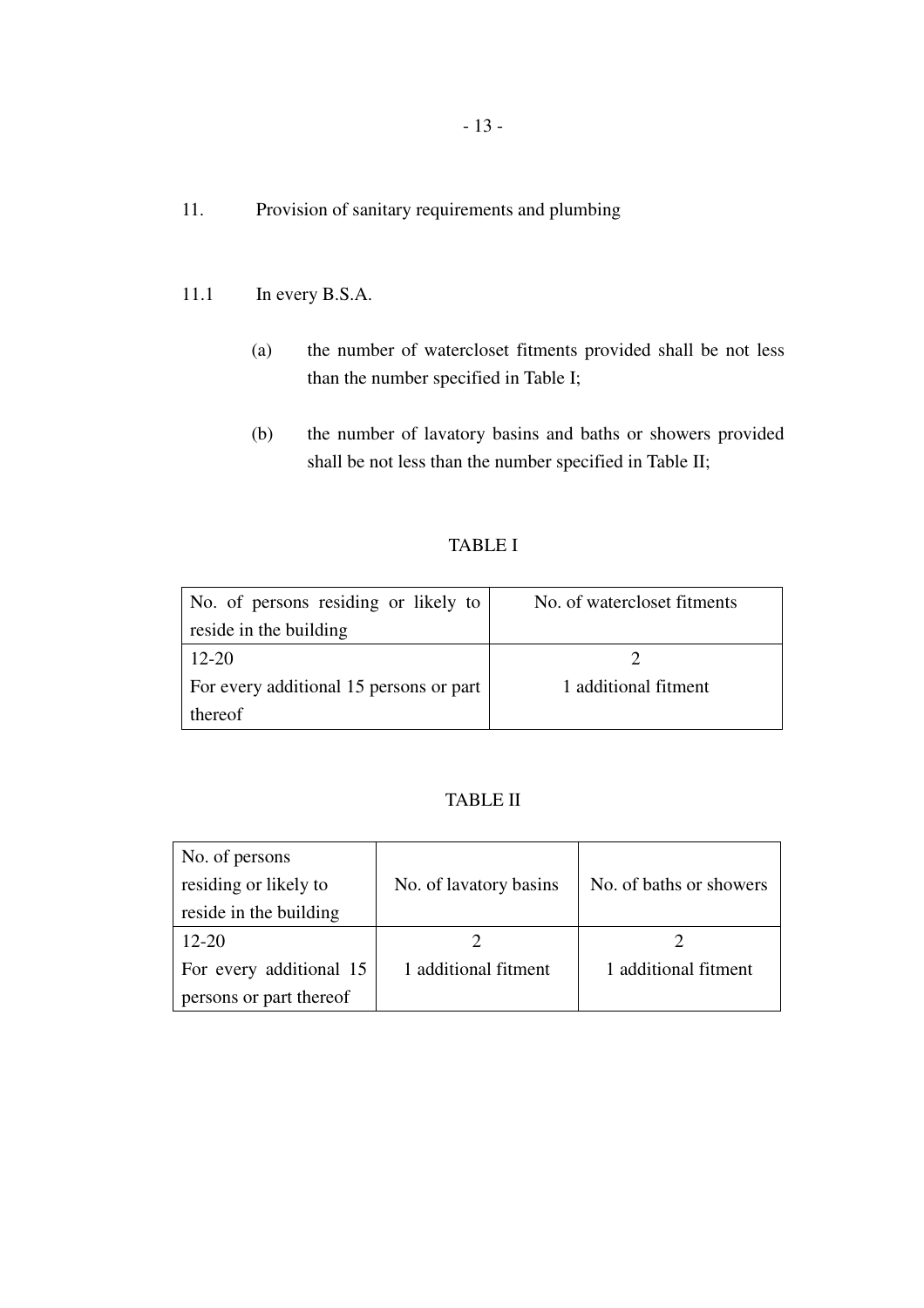- 11. Provision of sanitary requirements and plumbing
- 11.1 In every B.S.A.
	- (a) the number of watercloset fitments provided shall be not less than the number specified in Table I;
	- (b) the number of lavatory basins and baths or showers provided shall be not less than the number specified in Table II;

#### TABLE I

| No. of persons residing or likely to    | No. of watercloset fitments |
|-----------------------------------------|-----------------------------|
| reside in the building                  |                             |
| $12 - 20$                               |                             |
| For every additional 15 persons or part | 1 additional fitment        |
| thereof                                 |                             |

# TABLE II

| No. of persons          |                        |                         |
|-------------------------|------------------------|-------------------------|
| residing or likely to   | No. of lavatory basins | No. of baths or showers |
| reside in the building  |                        |                         |
| $12 - 20$               |                        |                         |
| For every additional 15 | 1 additional fitment   | 1 additional fitment    |
| persons or part thereof |                        |                         |